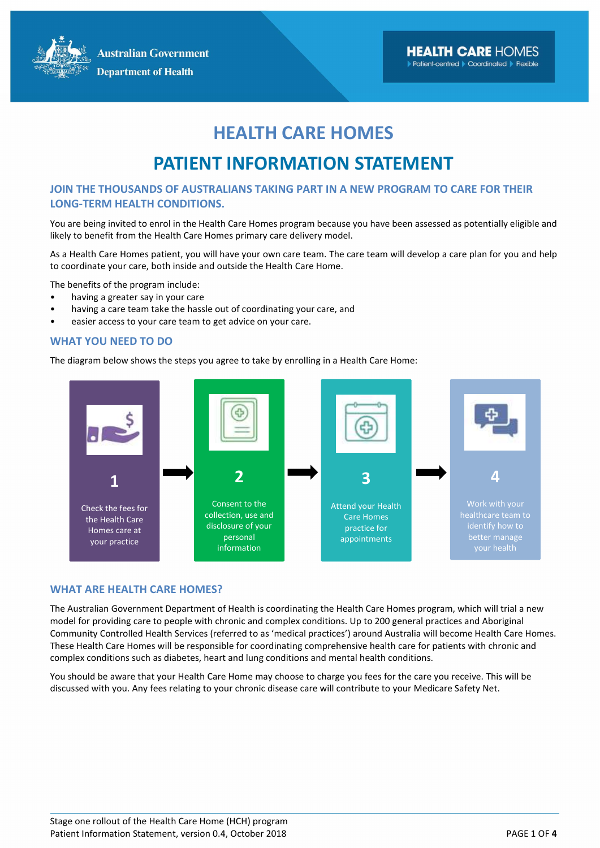**Australian Government Department of Health** 

### HEALTH CARE HOMES

## PATIENT INFORMATION STATEMENT

#### JOIN THE THOUSANDS OF AUSTRALIANS TAKING PART IN A NEW PROGRAM TO CARE FOR THEIR LONG-TERM HEALTH CONDITIONS.

You are being invited to enrol in the Health Care Homes program because you have been assessed as potentially eligible and likely to benefit from the Health Care Homes primary care delivery model.

As a Health Care Homes patient, you will have your own care team. The care team will develop a care plan for you and help to coordinate your care, both inside and outside the Health Care Home.

The benefits of the program include:

- having a greater say in your care
- having a care team take the hassle out of coordinating your care, and
- easier access to your care team to get advice on your care.

#### WHAT YOU NEED TO DO

The diagram below shows the steps you agree to take by enrolling in a Health Care Home:



#### WHAT ARE HEALTH CARE HOMES?

The Australian Government Department of Health is coordinating the Health Care Homes program, which will trial a new model for providing care to people with chronic and complex conditions. Up to 200 general practices and Aboriginal Community Controlled Health Services (referred to as 'medical practices') around Australia will become Health Care Homes. These Health Care Homes will be responsible for coordinating comprehensive health care for patients with chronic and complex conditions such as diabetes, heart and lung conditions and mental health conditions.

You should be aware that your Health Care Home may choose to charge you fees for the care you receive. This will be discussed with you. Any fees relating to your chronic disease care will contribute to your Medicare Safety Net.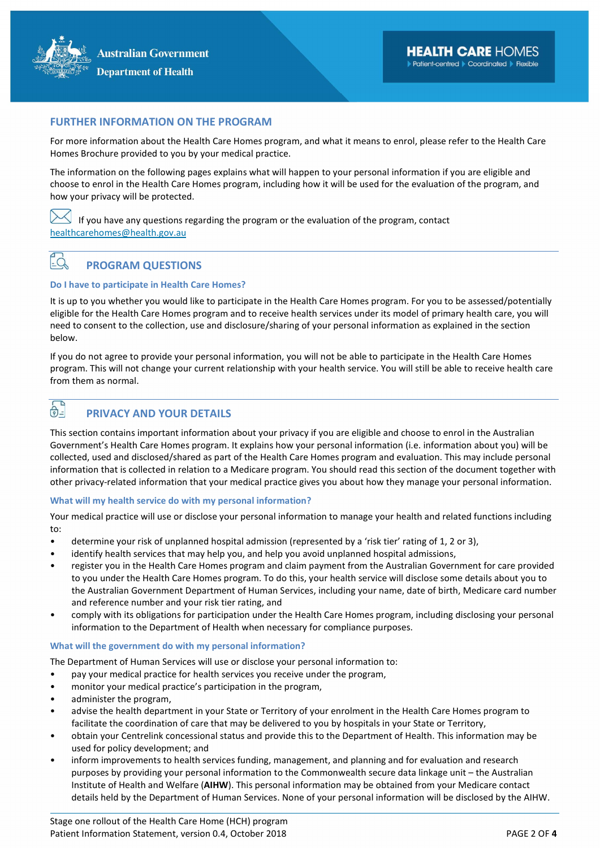#### FURTHER INFORMATION ON THE PROGRAM

For more information about the Health Care Homes program, and what it means to enrol, please refer to the Health Care Homes Brochure provided to you by your medical practice.

The information on the following pages explains what will happen to your personal information if you are eligible and choose to enrol in the Health Care Homes program, including how it will be used for the evaluation of the program, and how your privacy will be protected.

If you have any questions regarding the program or the evaluation of the program, contact healthcarehomes@health.gov.au

### $E_{\infty}$  PROGRAM QUESTIONS

#### Do I have to participate in Health Care Homes?

It is up to you whether you would like to participate in the Health Care Homes program. For you to be assessed/potentially eligible for the Health Care Homes program and to receive health services under its model of primary health care, you will need to consent to the collection, use and disclosure/sharing of your personal information as explained in the section below.

If you do not agree to provide your personal information, you will not be able to participate in the Health Care Homes program. This will not change your current relationship with your health service. You will still be able to receive health care from them as normal.

### $\overrightarrow{\theta}$  PRIVACY AND YOUR DETAILS

This section contains important information about your privacy if you are eligible and choose to enrol in the Australian Government's Health Care Homes program. It explains how your personal information (i.e. information about you) will be collected, used and disclosed/shared as part of the Health Care Homes program and evaluation. This may include personal information that is collected in relation to a Medicare program. You should read this section of the document together with other privacy-related information that your medical practice gives you about how they manage your personal information.

#### What will my health service do with my personal information?

Your medical practice will use or disclose your personal information to manage your health and related functions including to:

- determine your risk of unplanned hospital admission (represented by a 'risk tier' rating of 1, 2 or 3),
- identify health services that may help you, and help you avoid unplanned hospital admissions,
- register you in the Health Care Homes program and claim payment from the Australian Government for care provided to you under the Health Care Homes program. To do this, your health service will disclose some details about you to the Australian Government Department of Human Services, including your name, date of birth, Medicare card number and reference number and your risk tier rating, and
- comply with its obligations for participation under the Health Care Homes program, including disclosing your personal information to the Department of Health when necessary for compliance purposes.

#### What will the government do with my personal information?

The Department of Human Services will use or disclose your personal information to:

- pay your medical practice for health services you receive under the program,
- monitor your medical practice's participation in the program,
- administer the program,
- advise the health department in your State or Territory of your enrolment in the Health Care Homes program to facilitate the coordination of care that may be delivered to you by hospitals in your State or Territory,
- obtain your Centrelink concessional status and provide this to the Department of Health. This information may be used for policy development; and
- inform improvements to health services funding, management, and planning and for evaluation and research purposes by providing your personal information to the Commonwealth secure data linkage unit – the Australian Institute of Health and Welfare (AIHW). This personal information may be obtained from your Medicare contact details held by the Department of Human Services. None of your personal information will be disclosed by the AIHW.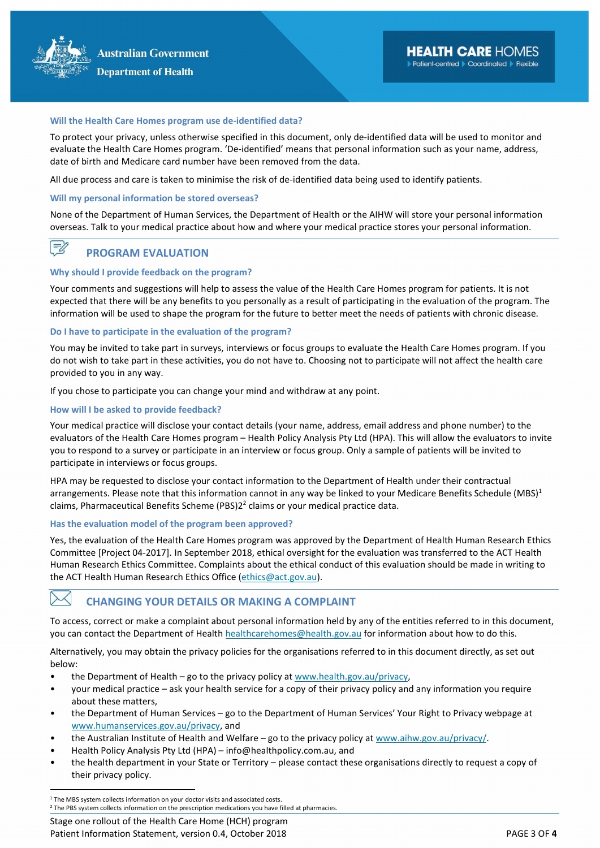

#### Will the Health Care Homes program use de-identified data?

To protect your privacy, unless otherwise specified in this document, only de-identified data will be used to monitor and evaluate the Health Care Homes program. 'De-identified' means that personal information such as your name, address, date of birth and Medicare card number have been removed from the data.

All due process and care is taken to minimise the risk of de-identified data being used to identify patients.

#### Will my personal information be stored overseas?

None of the Department of Human Services, the Department of Health or the AIHW will store your personal information overseas. Talk to your medical practice about how and where your medical practice stores your personal information.

#### $\equiv$ PROGRAM EVALUATION

#### Why should I provide feedback on the program?

Your comments and suggestions will help to assess the value of the Health Care Homes program for patients. It is not expected that there will be any benefits to you personally as a result of participating in the evaluation of the program. The information will be used to shape the program for the future to better meet the needs of patients with chronic disease.

#### Do I have to participate in the evaluation of the program?

You may be invited to take part in surveys, interviews or focus groups to evaluate the Health Care Homes program. If you do not wish to take part in these activities, you do not have to. Choosing not to participate will not affect the health care provided to you in any way.

If you chose to participate you can change your mind and withdraw at any point.

#### How will I be asked to provide feedback?

Your medical practice will disclose your contact details (your name, address, email address and phone number) to the evaluators of the Health Care Homes program – Health Policy Analysis Pty Ltd (HPA). This will allow the evaluators to invite you to respond to a survey or participate in an interview or focus group. Only a sample of patients will be invited to participate in interviews or focus groups.

HPA may be requested to disclose your contact information to the Department of Health under their contractual arrangements. Please note that this information cannot in any way be linked to your Medicare Benefits Schedule (MBS)<sup>1</sup> claims, Pharmaceutical Benefits Scheme (PBS)2 $^2$  claims or your medical practice data.

#### Has the evaluation model of the program been approved?

Yes, the evaluation of the Health Care Homes program was approved by the Department of Health Human Research Ethics Committee [Project 04-2017]. In September 2018, ethical oversight for the evaluation was transferred to the ACT Health Human Research Ethics Committee. Complaints about the ethical conduct of this evaluation should be made in writing to the ACT Health Human Research Ethics Office (ethics@act.gov.au).

### $\bowtie$  changing your details or making a complaint

To access, correct or make a complaint about personal information held by any of the entities referred to in this document, you can contact the Department of Health healthcarehomes@health.gov.au for information about how to do this.

Alternatively, you may obtain the privacy policies for the organisations referred to in this document directly, as set out below:

- the Department of Health go to the privacy policy at www.health.gov.au/privacy,
- your medical practice ask your health service for a copy of their privacy policy and any information you require about these matters,
- the Department of Human Services go to the Department of Human Services' Your Right to Privacy webpage at www.humanservices.gov.au/privacy, and
- the Australian Institute of Health and Welfare go to the privacy policy at www.aihw.gov.au/privacy/.
- Health Policy Analysis Pty Ltd (HPA) info@healthpolicy.com.au, and
- the health department in your State or Territory please contact these organisations directly to request a copy of their privacy policy.

 $\overline{a}$ 

Stage one rollout of the Health Care Home (HCH) program Patient Information Statement, version 0.4, October 2018 PAGE 3 OF 4

<sup>&</sup>lt;sup>1</sup> The MBS system collects information on your doctor visits and associated costs.

<sup>&</sup>lt;sup>2</sup> The PBS system collects information on the prescription medications you have filled at pharmacies.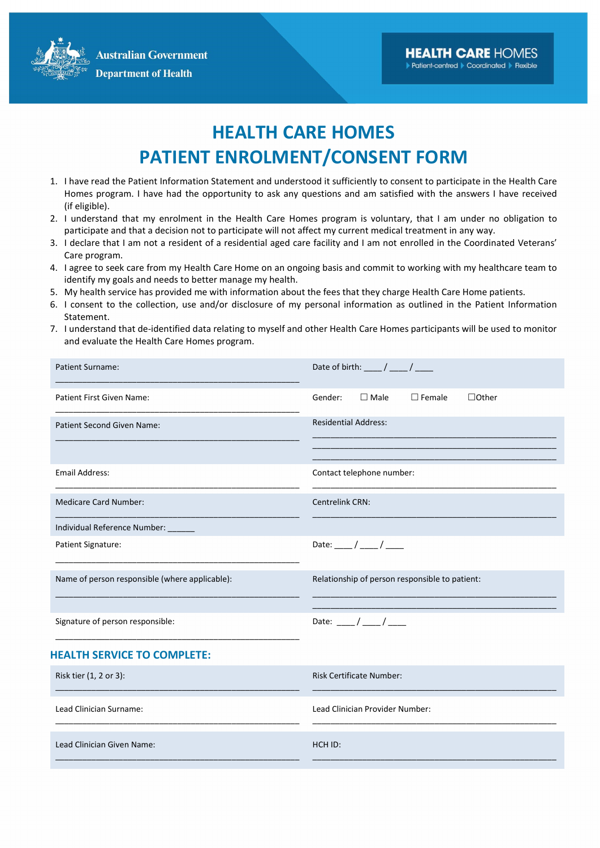**Australian Government Department of Health** 

## HEALTH CARE HOMES PATIENT ENROLMENT/CONSENT FORM

- 1. I have read the Patient Information Statement and understood it sufficiently to consent to participate in the Health Care Homes program. I have had the opportunity to ask any questions and am satisfied with the answers I have received (if eligible).
- 2. I understand that my enrolment in the Health Care Homes program is voluntary, that I am under no obligation to participate and that a decision not to participate will not affect my current medical treatment in any way.
- 3. I declare that I am not a resident of a residential aged care facility and I am not enrolled in the Coordinated Veterans' Care program.
- 4. I agree to seek care from my Health Care Home on an ongoing basis and commit to working with my healthcare team to identify my goals and needs to better manage my health.
- 5. My health service has provided me with information about the fees that they charge Health Care Home patients.
- 6. I consent to the collection, use and/or disclosure of my personal information as outlined in the Patient Information Statement.
- 7. I understand that de-identified data relating to myself and other Health Care Homes participants will be used to monitor and evaluate the Health Care Homes program.

| Patient Surname:                               | Date of birth: $\frac{1}{\sqrt{1-\frac{1}{2}}}$            |
|------------------------------------------------|------------------------------------------------------------|
| Patient First Given Name:                      | $\square$ Male<br>Gender:<br>$\Box$ Female<br>$\Box$ Other |
| <b>Patient Second Given Name:</b>              | <b>Residential Address:</b>                                |
| <b>Email Address:</b>                          | Contact telephone number:                                  |
| <b>Medicare Card Number:</b>                   | Centrelink CRN:                                            |
| Individual Reference Number: ______            |                                                            |
| Patient Signature:                             | Date: ___ / ___ / ____                                     |
| Name of person responsible (where applicable): | Relationship of person responsible to patient:             |
| Signature of person responsible:               | Date: ___/ ___/ ____                                       |
| <b>HEALTH SERVICE TO COMPLETE:</b>             |                                                            |
| Risk tier (1, 2 or 3):                         | <b>Risk Certificate Number:</b>                            |
| Lead Clinician Surname:                        | Lead Clinician Provider Number:                            |
| Lead Clinician Given Name:                     | HCH ID:                                                    |